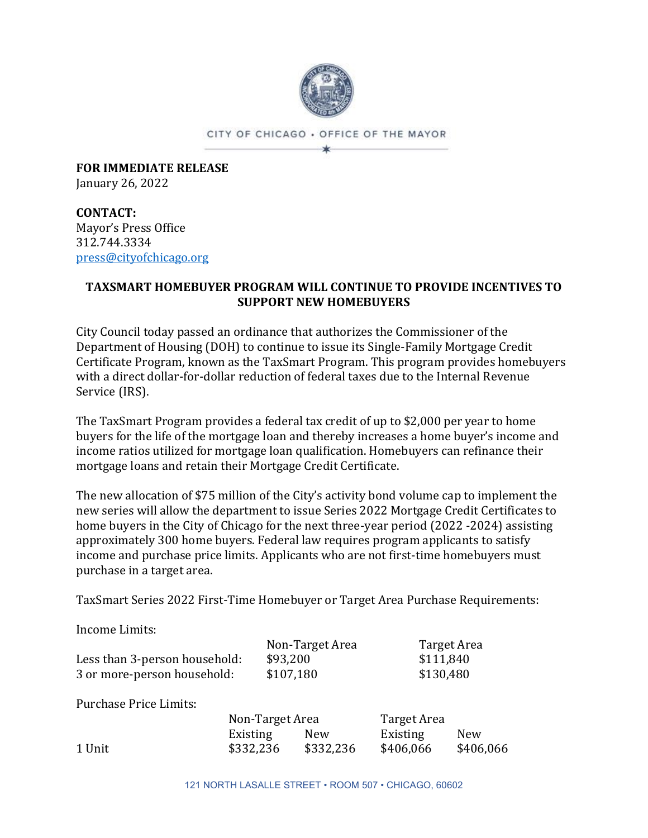

CITY OF CHICAGO . OFFICE OF THE MAYOR ×.

**FOR IMMEDIATE RELEASE** January 26, 2022

**CONTACT:** Mayor's Press Office 312.744.3334 [press@cityofchicago.org](mailto:press@cityofchicago.org)

# **TAXSMART HOMEBUYER PROGRAM WILL CONTINUE TO PROVIDE INCENTIVES TO SUPPORT NEW HOMEBUYERS**

City Council today passed an ordinance that authorizes the Commissioner of the Department of Housing (DOH) to continue to issue its Single-Family Mortgage Credit Certificate Program, known as the TaxSmart Program. This program provides homebuyers with a direct dollar-for-dollar reduction of federal taxes due to the Internal Revenue Service (IRS).

The TaxSmart Program provides a federal tax credit of up to \$2,000 per year to home buyers for the life of the mortgage loan and thereby increases a home buyer's income and income ratios utilized for mortgage loan qualification. Homebuyers can refinance their mortgage loans and retain their Mortgage Credit Certificate.

The new allocation of \$75 million of the City's activity bond volume cap to implement the new series will allow the department to issue Series 2022 Mortgage Credit Certificates to home buyers in the City of Chicago for the next three-year period (2022 -2024) assisting approximately 300 home buyers. Federal law requires program applicants to satisfy income and purchase price limits. Applicants who are not first-time homebuyers must purchase in a target area.

TaxSmart Series 2022 First-Time Homebuyer or Target Area Purchase Requirements:

Income Limits:

|                               | Non-Target Area | Target Area |
|-------------------------------|-----------------|-------------|
| Less than 3-person household: | \$93,200        | \$111,840   |
| 3 or more-person household:   | \$107,180       | \$130,480   |

Purchase Price Limits:

|        | Non-Target Area |           | Target Area |            |
|--------|-----------------|-----------|-------------|------------|
|        | Existing        | New       | Existing    | <b>New</b> |
| 1 Unit | \$332,236       | \$332,236 | \$406,066   | \$406,066  |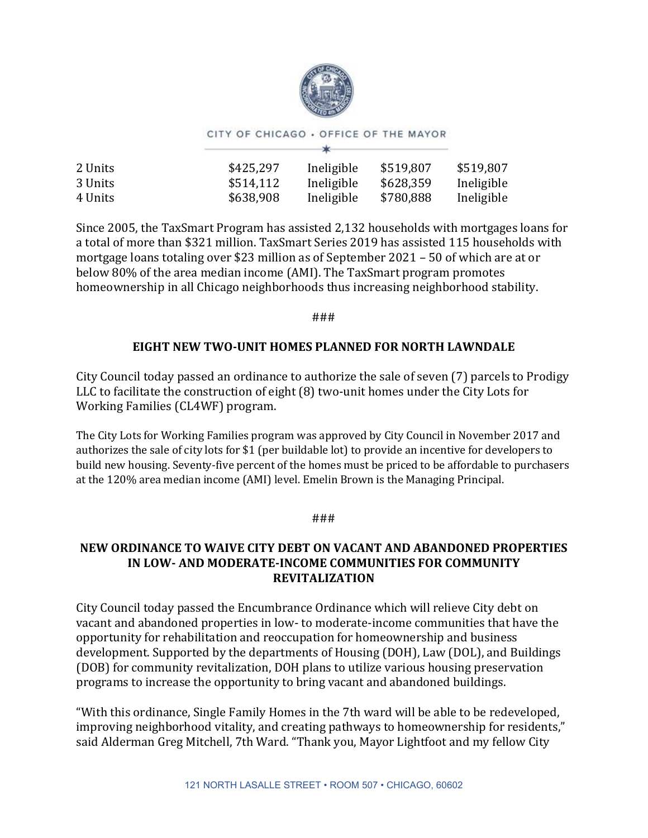

#### CITY OF CHICAGO . OFFICE OF THE MAYOR  $\star$

| 2 Units | \$425,297 | Ineligible | \$519,807 | \$519,807  |
|---------|-----------|------------|-----------|------------|
| 3 Units | \$514,112 | Ineligible | \$628,359 | Ineligible |
| 4 Units | \$638,908 | Ineligible | \$780,888 | Ineligible |
|         |           |            |           |            |

Since 2005, the TaxSmart Program has assisted 2,132 households with mortgages loans for a total of more than \$321 million. TaxSmart Series 2019 has assisted 115 households with mortgage loans totaling over \$23 million as of September 2021 – 50 of which are at or below 80% of the area median income (AMI). The TaxSmart program promotes homeownership in all Chicago neighborhoods thus increasing neighborhood stability.

###

## **EIGHT NEW TWO-UNIT HOMES PLANNED FOR NORTH LAWNDALE**

City Council today passed an ordinance to authorize the sale of seven (7) parcels to Prodigy LLC to facilitate the construction of eight (8) two-unit homes under the City Lots for Working Families (CL4WF) program.

The City Lots for Working Families program was approved by City Council in November 2017 and authorizes the sale of city lots for \$1 (per buildable lot) to provide an incentive for developers to build new housing. Seventy-five percent of the homes must be priced to be affordable to purchasers at the 120% area median income (AMI) level. Emelin Brown is the Managing Principal.

### ###

# **NEW ORDINANCE TO WAIVE CITY DEBT ON VACANT AND ABANDONED PROPERTIES IN LOW- AND MODERATE-INCOME COMMUNITIES FOR COMMUNITY REVITALIZATION**

City Council today passed the Encumbrance Ordinance which will relieve City debt on vacant and abandoned properties in low- to moderate-income communities that have the opportunity for rehabilitation and reoccupation for homeownership and business development. Supported by the departments of Housing (DOH), Law (DOL), and Buildings (DOB) for community revitalization, DOH plans to utilize various housing preservation programs to increase the opportunity to bring vacant and abandoned buildings.

"With this ordinance, Single Family Homes in the 7th ward will be able to be redeveloped, improving neighborhood vitality, and creating pathways to homeownership for residents," said Alderman Greg Mitchell, 7th Ward. "Thank you, Mayor Lightfoot and my fellow City